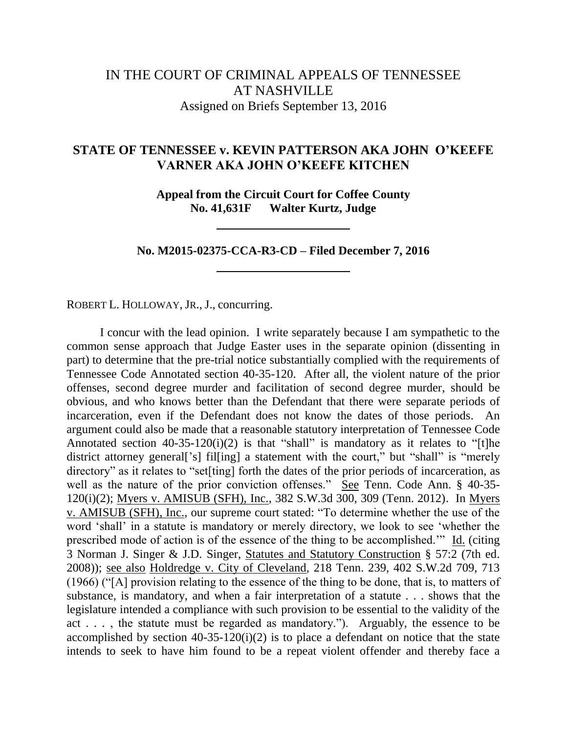## IN THE COURT OF CRIMINAL APPEALS OF TENNESSEE AT NASHVILLE Assigned on Briefs September 13, 2016

## **STATE OF TENNESSEE v. KEVIN PATTERSON AKA JOHN O'KEEFE VARNER AKA JOHN O'KEEFE KITCHEN**

**Appeal from the Circuit Court for Coffee County No. 41,631F Walter Kurtz, Judge**

**No. M2015-02375-CCA-R3-CD – Filed December 7, 2016**

ROBERT L. HOLLOWAY, JR., J., concurring.

I concur with the lead opinion. I write separately because I am sympathetic to the common sense approach that Judge Easter uses in the separate opinion (dissenting in part) to determine that the pre-trial notice substantially complied with the requirements of Tennessee Code Annotated section 40-35-120. After all, the violent nature of the prior offenses, second degree murder and facilitation of second degree murder, should be obvious, and who knows better than the Defendant that there were separate periods of incarceration, even if the Defendant does not know the dates of those periods. An argument could also be made that a reasonable statutory interpretation of Tennessee Code Annotated section  $40-35-120(i)(2)$  is that "shall" is mandatory as it relates to "[t]he district attorney general<sup>['s]</sup> filling] a statement with the court," but "shall" is "merely directory" as it relates to "set[ting] forth the dates of the prior periods of incarceration, as well as the nature of the prior conviction offenses." See Tenn. Code Ann. § 40-35-120(i)(2); Myers v. AMISUB (SFH), Inc., 382 S.W.3d 300, 309 (Tenn. 2012). In Myers v. AMISUB (SFH), Inc., our supreme court stated: "To determine whether the use of the word "shall" in a statute is mandatory or merely directory, we look to see "whether the prescribed mode of action is of the essence of the thing to be accomplished."" Id. (citing 3 Norman J. Singer & J.D. Singer, Statutes and Statutory Construction § 57:2 (7th ed. 2008)); see also Holdredge v. City of Cleveland*,* 218 Tenn. 239, 402 S.W.2d 709, 713 (1966) ("[A] provision relating to the essence of the thing to be done, that is, to matters of substance, is mandatory, and when a fair interpretation of a statute . . . shows that the legislature intended a compliance with such provision to be essential to the validity of the act . . . , the statute must be regarded as mandatory."). Arguably, the essence to be accomplished by section  $40-35-120(i)(2)$  is to place a defendant on notice that the state intends to seek to have him found to be a repeat violent offender and thereby face a